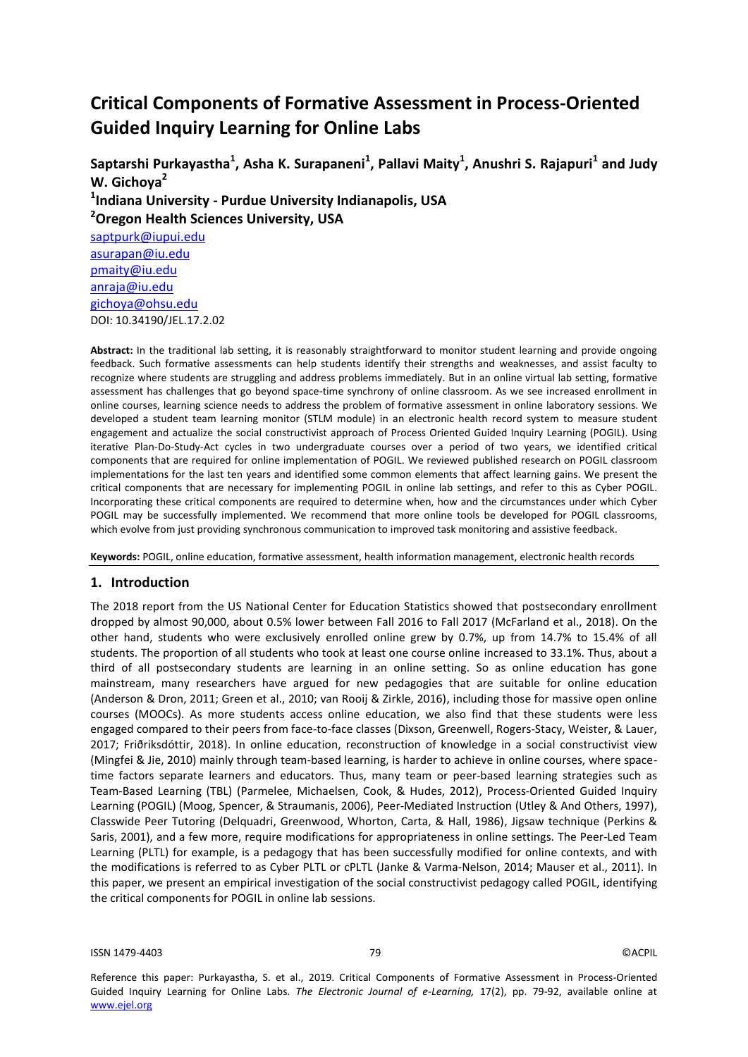# **Critical Components of Formative Assessment in Process-Oriented Guided Inquiry Learning for Online Labs**

Saptarshi Purkayastha<sup>1</sup>, Asha K. Surapaneni<sup>1</sup>, Pallavi Maity<sup>1</sup>, Anushri S. Rajapuri<sup>1</sup> and Judy **W. Gichoya<sup>2</sup> 1 Indiana University - Purdue University Indianapolis, USA <sup>2</sup>Oregon Health Sciences University, USA** [saptpurk@iupui.edu](mailto:saptpurk@iupui.edu)  [asurapan@iu.edu](mailto:asurapan@iu.edu) [pmaity@iu.edu](mailto:pmaity@iu.edu) anraja@iu.edu [gichoya@ohsu.edu](mailto:gichoya@ohsu.edu)

**Abstract:** In the traditional lab setting, it is reasonably straightforward to monitor student learning and provide ongoing feedback. Such formative assessments can help students identify their strengths and weaknesses, and assist faculty to recognize where students are struggling and address problems immediately. But in an online virtual lab setting, formative assessment has challenges that go beyond space-time synchrony of online classroom. As we see increased enrollment in online courses, learning science needs to address the problem of formative assessment in online laboratory sessions. We developed a student team learning monitor (STLM module) in an electronic health record system to measure student engagement and actualize the social constructivist approach of Process Oriented Guided Inquiry Learning (POGIL). Using iterative Plan-Do-Study-Act cycles in two undergraduate courses over a period of two years, we identified critical components that are required for online implementation of POGIL. We reviewed published research on POGIL classroom implementations for the last ten years and identified some common elements that affect learning gains. We present the critical components that are necessary for implementing POGIL in online lab settings, and refer to this as Cyber POGIL. Incorporating these critical components are required to determine when, how and the circumstances under which Cyber POGIL may be successfully implemented. We recommend that more online tools be developed for POGIL classrooms, which evolve from just providing synchronous communication to improved task monitoring and assistive feedback.

**Keywords:** POGIL, online education, formative assessment, health information management, electronic health records

### **1. Introduction**

DOI: 10.34190/JEL.17.2.02

The 2018 report from the US National Center for Education Statistics showed that postsecondary enrollment dropped by almost 90,000, about 0.5% lower between Fall 2016 to Fall 2017 (McFarland et al., 2018). On the other hand, students who were exclusively enrolled online grew by 0.7%, up from 14.7% to 15.4% of all students. The proportion of all students who took at least one course online increased to 33.1%. Thus, about a third of all postsecondary students are learning in an online setting. So as online education has gone mainstream, many researchers have argued for new pedagogies that are suitable for online education (Anderson & Dron, 2011; Green et al., 2010; van Rooij & Zirkle, 2016), including those for massive open online courses (MOOCs). As more students access online education, we also find that these students were less engaged compared to their peers from face-to-face classes (Dixson, Greenwell, Rogers-Stacy, Weister, & Lauer, 2017; Friðriksdóttir, 2018). In online education, reconstruction of knowledge in a social constructivist view (Mingfei & Jie, 2010) mainly through team-based learning, is harder to achieve in online courses, where spacetime factors separate learners and educators. Thus, many team or peer-based learning strategies such as Team-Based Learning (TBL) (Parmelee, Michaelsen, Cook, & Hudes, 2012), Process-Oriented Guided Inquiry Learning (POGIL) (Moog, Spencer, & Straumanis, 2006), Peer-Mediated Instruction (Utley & And Others, 1997), Classwide Peer Tutoring (Delquadri, Greenwood, Whorton, Carta, & Hall, 1986), Jigsaw technique (Perkins & Saris, 2001), and a few more, require modifications for appropriateness in online settings. The Peer-Led Team Learning (PLTL) for example, is a pedagogy that has been successfully modified for online contexts, and with the modifications is referred to as Cyber PLTL or cPLTL (Janke & Varma-Nelson, 2014; Mauser et al., 2011). In this paper, we present an empirical investigation of the social constructivist pedagogy called POGIL, identifying the critical components for POGIL in online lab sessions.

ISSN 1479-4403 79 ©ACPIL

Reference this paper: Purkayastha, S. et al., 2019. Critical Components of Formative Assessment in Process-Oriented Guided Inquiry Learning for Online Labs. *The Electronic Journal of e-Learning,* 17(2), pp. 79-92, available online at www.ejel.org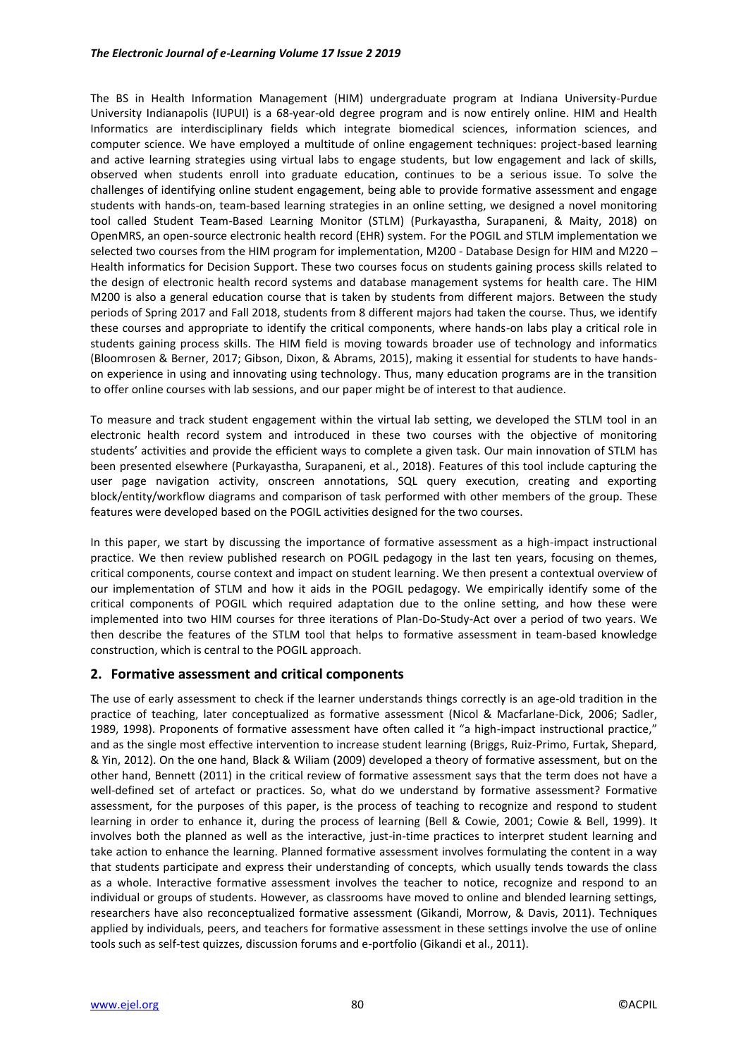### *The Electronic Journal of e-Learning Volume 17 Issue 2 2019*

The BS in Health Information Management (HIM) undergraduate program at Indiana University-Purdue University Indianapolis (IUPUI) is a 68-year-old degree program and is now entirely online. HIM and Health Informatics are interdisciplinary fields which integrate biomedical sciences, information sciences, and computer science. We have employed a multitude of online engagement techniques: project-based learning and active learning strategies using virtual labs to engage students, but low engagement and lack of skills, observed when students enroll into graduate education, continues to be a serious issue. To solve the challenges of identifying online student engagement, being able to provide formative assessment and engage students with hands-on, team-based learning strategies in an online setting, we designed a novel monitoring tool called Student Team-Based Learning Monitor (STLM) (Purkayastha, Surapaneni, & Maity, 2018) on OpenMRS, an open-source electronic health record (EHR) system. For the POGIL and STLM implementation we selected two courses from the HIM program for implementation, M200 - Database Design for HIM and M220 -Health informatics for Decision Support. These two courses focus on students gaining process skills related to the design of electronic health record systems and database management systems for health care. The HIM M200 is also a general education course that is taken by students from different majors. Between the study periods of Spring 2017 and Fall 2018, students from 8 different majors had taken the course. Thus, we identify these courses and appropriate to identify the critical components, where hands-on labs play a critical role in students gaining process skills. The HIM field is moving towards broader use of technology and informatics (Bloomrosen & Berner, 2017; Gibson, Dixon, & Abrams, 2015), making it essential for students to have handson experience in using and innovating using technology. Thus, many education programs are in the transition to offer online courses with lab sessions, and our paper might be of interest to that audience.

To measure and track student engagement within the virtual lab setting, we developed the STLM tool in an electronic health record system and introduced in these two courses with the objective of monitoring students' activities and provide the efficient ways to complete a given task. Our main innovation of STLM has been presented elsewhere (Purkayastha, Surapaneni, et al., 2018). Features of this tool include capturing the user page navigation activity, onscreen annotations, SQL query execution, creating and exporting block/entity/workflow diagrams and comparison of task performed with other members of the group. These features were developed based on the POGIL activities designed for the two courses.

In this paper, we start by discussing the importance of formative assessment as a high-impact instructional practice. We then review published research on POGIL pedagogy in the last ten years, focusing on themes, critical components, course context and impact on student learning. We then present a contextual overview of our implementation of STLM and how it aids in the POGIL pedagogy. We empirically identify some of the critical components of POGIL which required adaptation due to the online setting, and how these were implemented into two HIM courses for three iterations of Plan-Do-Study-Act over a period of two years. We then describe the features of the STLM tool that helps to formative assessment in team-based knowledge construction, which is central to the POGIL approach.

# **2. Formative assessment and critical components**

The use of early assessment to check if the learner understands things correctly is an age-old tradition in the practice of teaching, later conceptualized as formative assessment (Nicol & Macfarlane‐Dick, 2006; Sadler, 1989, 1998). Proponents of formative assessment have often called it "a high-impact instructional practice," and as the single most effective intervention to increase student learning (Briggs, Ruiz‐Primo, Furtak, Shepard, & Yin, 2012). On the one hand, Black & Wiliam (2009) developed a theory of formative assessment, but on the other hand, Bennett (2011) in the critical review of formative assessment says that the term does not have a well-defined set of artefact or practices. So, what do we understand by formative assessment? Formative assessment, for the purposes of this paper, is the process of teaching to recognize and respond to student learning in order to enhance it, during the process of learning (Bell & Cowie, 2001; Cowie & Bell, 1999). It involves both the planned as well as the interactive, just-in-time practices to interpret student learning and take action to enhance the learning. Planned formative assessment involves formulating the content in a way that students participate and express their understanding of concepts, which usually tends towards the class as a whole. Interactive formative assessment involves the teacher to notice, recognize and respond to an individual or groups of students. However, as classrooms have moved to online and blended learning settings, researchers have also reconceptualized formative assessment (Gikandi, Morrow, & Davis, 2011). Techniques applied by individuals, peers, and teachers for formative assessment in these settings involve the use of online tools such as self-test quizzes, discussion forums and e-portfolio (Gikandi et al., 2011).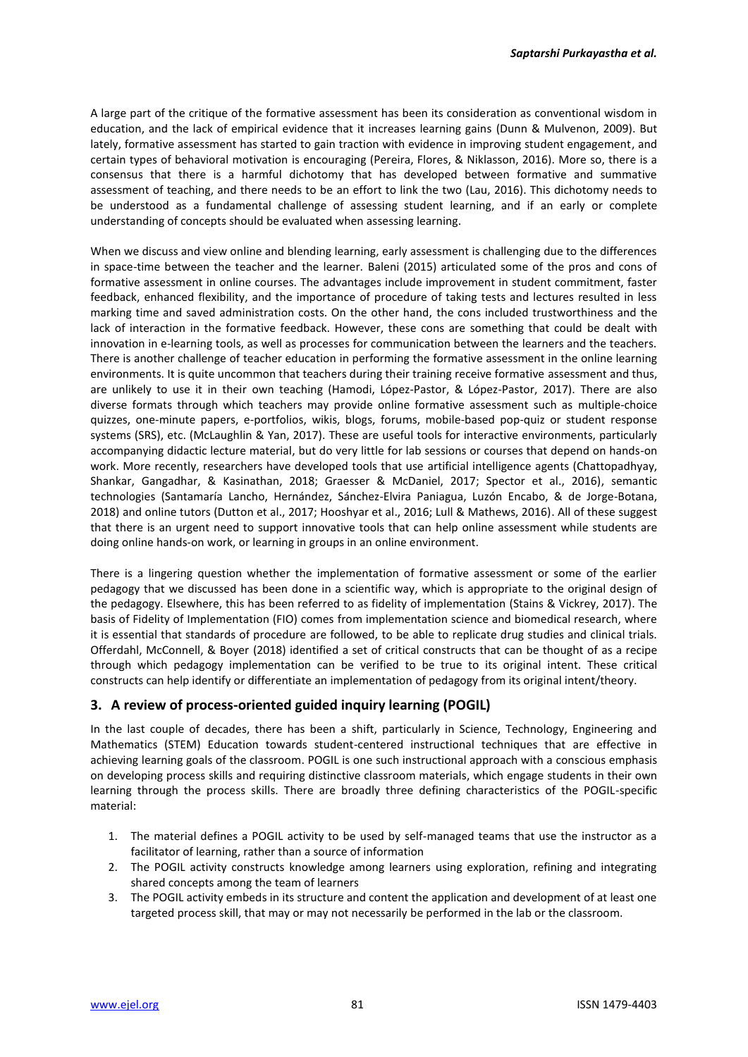A large part of the critique of the formative assessment has been its consideration as conventional wisdom in education, and the lack of empirical evidence that it increases learning gains (Dunn & Mulvenon, 2009). But lately, formative assessment has started to gain traction with evidence in improving student engagement, and certain types of behavioral motivation is encouraging (Pereira, Flores, & Niklasson, 2016). More so, there is a consensus that there is a harmful dichotomy that has developed between formative and summative assessment of teaching, and there needs to be an effort to link the two (Lau, 2016). This dichotomy needs to be understood as a fundamental challenge of assessing student learning, and if an early or complete understanding of concepts should be evaluated when assessing learning.

When we discuss and view online and blending learning, early assessment is challenging due to the differences in space-time between the teacher and the learner. Baleni (2015) articulated some of the pros and cons of formative assessment in online courses. The advantages include improvement in student commitment, faster feedback, enhanced flexibility, and the importance of procedure of taking tests and lectures resulted in less marking time and saved administration costs. On the other hand, the cons included trustworthiness and the lack of interaction in the formative feedback. However, these cons are something that could be dealt with innovation in e-learning tools, as well as processes for communication between the learners and the teachers. There is another challenge of teacher education in performing the formative assessment in the online learning environments. It is quite uncommon that teachers during their training receive formative assessment and thus, are unlikely to use it in their own teaching (Hamodi, López-Pastor, & López-Pastor, 2017). There are also diverse formats through which teachers may provide online formative assessment such as multiple-choice quizzes, one-minute papers, e-portfolios, wikis, blogs, forums, mobile-based pop-quiz or student response systems (SRS), etc. (McLaughlin & Yan, 2017). These are useful tools for interactive environments, particularly accompanying didactic lecture material, but do very little for lab sessions or courses that depend on hands-on work. More recently, researchers have developed tools that use artificial intelligence agents (Chattopadhyay, Shankar, Gangadhar, & Kasinathan, 2018; Graesser & McDaniel, 2017; Spector et al., 2016), semantic technologies (Santamaría Lancho, Hernández, Sánchez-Elvira Paniagua, Luzón Encabo, & de Jorge-Botana, 2018) and online tutors (Dutton et al., 2017; Hooshyar et al., 2016; Lull & Mathews, 2016). All of these suggest that there is an urgent need to support innovative tools that can help online assessment while students are doing online hands-on work, or learning in groups in an online environment.

There is a lingering question whether the implementation of formative assessment or some of the earlier pedagogy that we discussed has been done in a scientific way, which is appropriate to the original design of the pedagogy. Elsewhere, this has been referred to as fidelity of implementation (Stains & Vickrey, 2017). The basis of Fidelity of Implementation (FIO) comes from implementation science and biomedical research, where it is essential that standards of procedure are followed, to be able to replicate drug studies and clinical trials. Offerdahl, McConnell, & Boyer (2018) identified a set of critical constructs that can be thought of as a recipe through which pedagogy implementation can be verified to be true to its original intent. These critical constructs can help identify or differentiate an implementation of pedagogy from its original intent/theory.

# **3. A review of process-oriented guided inquiry learning (POGIL)**

In the last couple of decades, there has been a shift, particularly in Science, Technology, Engineering and Mathematics (STEM) Education towards student-centered instructional techniques that are effective in achieving learning goals of the classroom. POGIL is one such instructional approach with a conscious emphasis on developing process skills and requiring distinctive classroom materials, which engage students in their own learning through the process skills. There are broadly three defining characteristics of the POGIL-specific material:

- 1. The material defines a POGIL activity to be used by self-managed teams that use the instructor as a facilitator of learning, rather than a source of information
- 2. The POGIL activity constructs knowledge among learners using exploration, refining and integrating shared concepts among the team of learners
- 3. The POGIL activity embeds in its structure and content the application and development of at least one targeted process skill, that may or may not necessarily be performed in the lab or the classroom.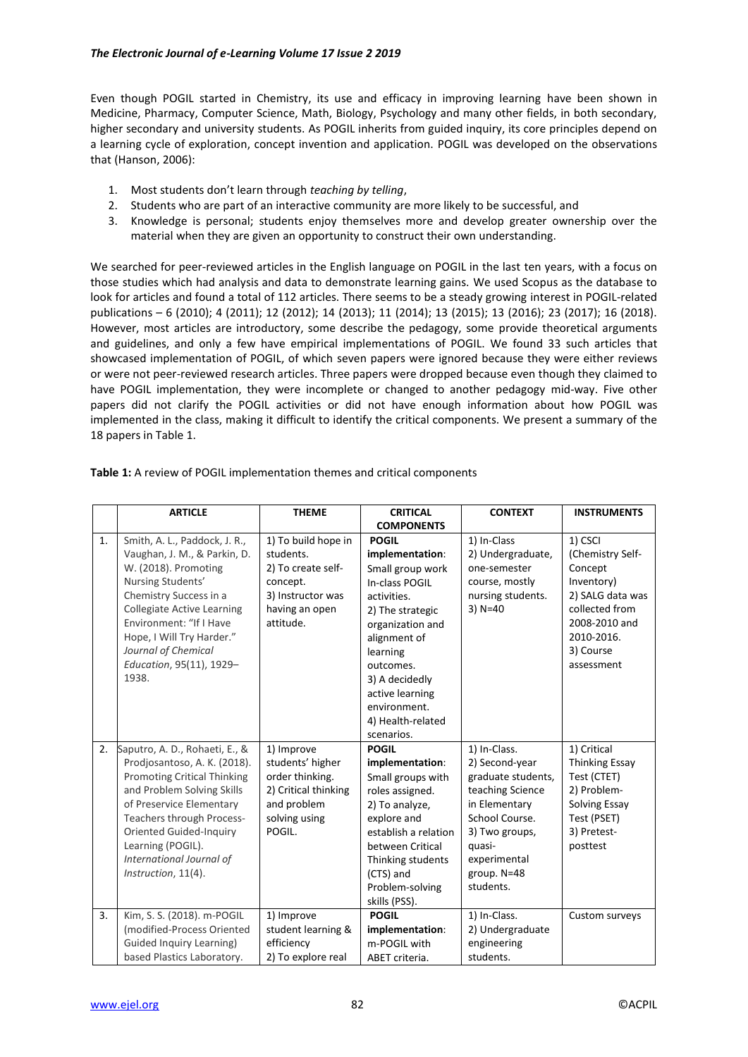Even though POGIL started in Chemistry, its use and efficacy in improving learning have been shown in Medicine, Pharmacy, Computer Science, Math, Biology, Psychology and many other fields, in both secondary, higher secondary and university students. As POGIL inherits from guided inquiry, its core principles depend on a learning cycle of exploration, concept invention and application. POGIL was developed on the observations that (Hanson, 2006):

- 1. Most students don't learn through *teaching by telling*,
- 2. Students who are part of an interactive community are more likely to be successful, and
- 3. Knowledge is personal; students enjoy themselves more and develop greater ownership over the material when they are given an opportunity to construct their own understanding.

We searched for peer-reviewed articles in the English language on POGIL in the last ten years, with a focus on those studies which had analysis and data to demonstrate learning gains. We used Scopus as the database to look for articles and found a total of 112 articles. There seems to be a steady growing interest in POGIL-related publications – 6 (2010); 4 (2011); 12 (2012); 14 (2013); 11 (2014); 13 (2015); 13 (2016); 23 (2017); 16 (2018). However, most articles are introductory, some describe the pedagogy, some provide theoretical arguments and guidelines, and only a few have empirical implementations of POGIL. We found 33 such articles that showcased implementation of POGIL, of which seven papers were ignored because they were either reviews or were not peer-reviewed research articles. Three papers were dropped because even though they claimed to have POGIL implementation, they were incomplete or changed to another pedagogy mid-way. Five other papers did not clarify the POGIL activities or did not have enough information about how POGIL was implemented in the class, making it difficult to identify the critical components. We present a summary of the 18 papers in Table 1.

| <b>ARTICLE</b>                                                                                                                                                                                                                                                                                       | <b>THEME</b>                                                                                                           | <b>CRITICAL</b>                                                                                                                                                                                                                                               | <b>CONTEXT</b>                                                                                                                                                                      | <b>INSTRUMENTS</b>                                                                                                                                   |
|------------------------------------------------------------------------------------------------------------------------------------------------------------------------------------------------------------------------------------------------------------------------------------------------------|------------------------------------------------------------------------------------------------------------------------|---------------------------------------------------------------------------------------------------------------------------------------------------------------------------------------------------------------------------------------------------------------|-------------------------------------------------------------------------------------------------------------------------------------------------------------------------------------|------------------------------------------------------------------------------------------------------------------------------------------------------|
|                                                                                                                                                                                                                                                                                                      |                                                                                                                        | <b>COMPONENTS</b>                                                                                                                                                                                                                                             |                                                                                                                                                                                     |                                                                                                                                                      |
| 1.<br>Smith, A. L., Paddock, J. R.,<br>Vaughan, J. M., & Parkin, D.<br>W. (2018). Promoting<br>Nursing Students'<br>Chemistry Success in a<br><b>Collegiate Active Learning</b><br>Environment: "If I Have<br>Hope, I Will Try Harder."<br>Journal of Chemical<br>Education, 95(11), 1929-<br>1938.  | 1) To build hope in<br>students.<br>2) To create self-<br>concept.<br>3) Instructor was<br>having an open<br>attitude. | <b>POGIL</b><br>implementation:<br>Small group work<br>In-class POGIL<br>activities.<br>2) The strategic<br>organization and<br>alignment of<br>learning<br>outcomes.<br>3) A decidedly<br>active learning<br>environment.<br>4) Health-related<br>scenarios. | 1) In-Class<br>2) Undergraduate,<br>one-semester<br>course, mostly<br>nursing students.<br>$3)$ N=40                                                                                | 1) CSCI<br>(Chemistry Self-<br>Concept<br>Inventory)<br>2) SALG data was<br>collected from<br>2008-2010 and<br>2010-2016.<br>3) Course<br>assessment |
| 2.<br>Saputro, A. D., Rohaeti, E., &<br>Prodjosantoso, A. K. (2018).<br><b>Promoting Critical Thinking</b><br>and Problem Solving Skills<br>of Preservice Elementary<br>Teachers through Process-<br>Oriented Guided-Inquiry<br>Learning (POGIL).<br>International Journal of<br>Instruction, 11(4). | 1) Improve<br>students' higher<br>order thinking.<br>2) Critical thinking<br>and problem<br>solving using<br>POGIL.    | <b>POGIL</b><br>implementation:<br>Small groups with<br>roles assigned.<br>2) To analyze,<br>explore and<br>establish a relation<br>between Critical<br>Thinking students<br>(CTS) and<br>Problem-solving<br>skills (PSS).                                    | 1) In-Class.<br>2) Second-year<br>graduate students,<br>teaching Science<br>in Elementary<br>School Course.<br>3) Two groups,<br>quasi-<br>experimental<br>group. N=48<br>students. | 1) Critical<br><b>Thinking Essay</b><br>Test (CTET)<br>2) Problem-<br>Solving Essay<br>Test (PSET)<br>3) Pretest-<br>posttest                        |
| 3.<br>Kim, S. S. (2018). m-POGIL<br>(modified-Process Oriented<br>Guided Inquiry Learning)<br>based Plastics Laboratory.                                                                                                                                                                             | 1) Improve<br>student learning &<br>efficiency<br>2) To explore real                                                   | <b>POGIL</b><br>implementation:<br>m-POGIL with<br>ABET criteria.                                                                                                                                                                                             | 1) In-Class.<br>2) Undergraduate<br>engineering<br>students.                                                                                                                        | Custom surveys                                                                                                                                       |

**Table 1:** A review of POGIL implementation themes and critical components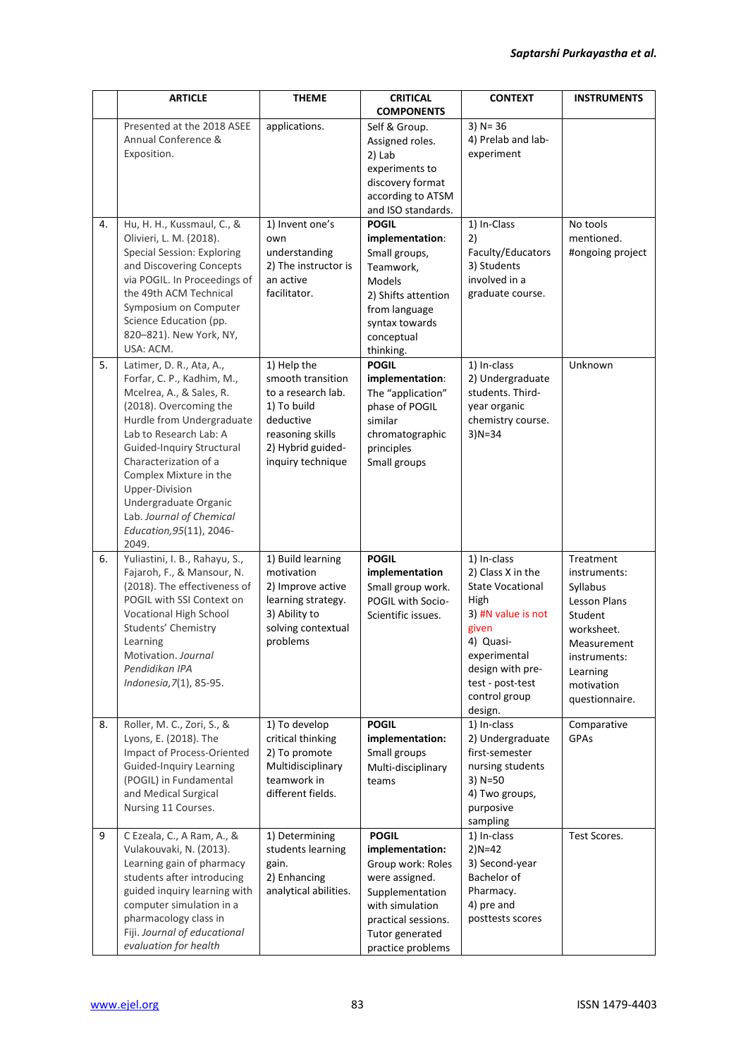|    | <b>ARTICLE</b>                                                                                                                                                                                                                                                                                                                                                  | <b>THEME</b>                                                                                                                                     | <b>CRITICAL</b><br><b>COMPONENTS</b>                                                                                                                                        | <b>CONTEXT</b>                                                                                                                                                                                      | <b>INSTRUMENTS</b>                                                                                                                                               |
|----|-----------------------------------------------------------------------------------------------------------------------------------------------------------------------------------------------------------------------------------------------------------------------------------------------------------------------------------------------------------------|--------------------------------------------------------------------------------------------------------------------------------------------------|-----------------------------------------------------------------------------------------------------------------------------------------------------------------------------|-----------------------------------------------------------------------------------------------------------------------------------------------------------------------------------------------------|------------------------------------------------------------------------------------------------------------------------------------------------------------------|
|    | Presented at the 2018 ASEE<br>Annual Conference &<br>Exposition.                                                                                                                                                                                                                                                                                                | applications.                                                                                                                                    | Self & Group.<br>Assigned roles.<br>2) Lab<br>experiments to<br>discovery format<br>according to ATSM<br>and ISO standards.                                                 | $3)$ N= 36<br>4) Prelab and lab-<br>experiment                                                                                                                                                      |                                                                                                                                                                  |
| 4. | Hu, H. H., Kussmaul, C., &<br>Olivieri, L. M. (2018).<br><b>Special Session: Exploring</b><br>and Discovering Concepts<br>via POGIL. In Proceedings of<br>the 49th ACM Technical<br>Symposium on Computer<br>Science Education (pp.<br>820-821). New York, NY,<br>USA: ACM.                                                                                     | 1) Invent one's<br>own<br>understanding<br>2) The instructor is<br>an active<br>facilitator.                                                     | <b>POGIL</b><br>implementation:<br>Small groups,<br>Teamwork,<br><b>Models</b><br>2) Shifts attention<br>from language<br>syntax towards<br>conceptual<br>thinking.         | 1) In-Class<br>2)<br>Faculty/Educators<br>3) Students<br>involved in a<br>graduate course.                                                                                                          | No tools<br>mentioned.<br>#ongoing project                                                                                                                       |
| 5. | Latimer, D. R., Ata, A.,<br>Forfar, C. P., Kadhim, M.,<br>Mcelrea, A., & Sales, R.<br>(2018). Overcoming the<br>Hurdle from Undergraduate<br>Lab to Research Lab: A<br>Guided-Inquiry Structural<br>Characterization of a<br>Complex Mixture in the<br>Upper-Division<br>Undergraduate Organic<br>Lab. Journal of Chemical<br>Education, 95(11), 2046-<br>2049. | 1) Help the<br>smooth transition<br>to a research lab.<br>1) To build<br>deductive<br>reasoning skills<br>2) Hybrid guided-<br>inquiry technique | <b>POGIL</b><br>implementation:<br>The "application"<br>phase of POGIL<br>similar<br>chromatographic<br>principles<br>Small groups                                          | 1) In-class<br>2) Undergraduate<br>students. Third-<br>year organic<br>chemistry course.<br>$3)N = 34$                                                                                              | Unknown                                                                                                                                                          |
| 6. | Yuliastini, I. B., Rahayu, S.,<br>Fajaroh, F., & Mansour, N.<br>(2018). The effectiveness of<br>POGIL with SSI Context on<br>Vocational High School<br>Students' Chemistry<br>Learning<br>Motivation. Journal<br>Pendidikan IPA<br>Indonesia, 7(1), 85-95.                                                                                                      | 1) Build learning<br>motivation<br>2) Improve active<br>learning strategy.<br>3) Ability to<br>solving contextual<br>problems                    | <b>POGIL</b><br>implementation<br>Small group work.<br>POGIL with Socio-<br>Scientific issues.                                                                              | 1) In-class<br>2) Class X in the<br><b>State Vocational</b><br>High<br>3) #N value is not<br>given<br>4) Quasi-<br>experimental<br>design with pre-<br>test - post-test<br>control group<br>design. | Treatment<br>instruments:<br>Syllabus<br><b>Lesson Plans</b><br>Student<br>worksheet.<br>Measurement<br>instruments:<br>Learning<br>motivation<br>questionnaire. |
| 8. | Roller, M. C., Zori, S., &<br>Lyons, E. (2018). The<br>Impact of Process-Oriented<br><b>Guided-Inquiry Learning</b><br>(POGIL) in Fundamental<br>and Medical Surgical<br>Nursing 11 Courses.                                                                                                                                                                    | 1) To develop<br>critical thinking<br>2) To promote<br>Multidisciplinary<br>teamwork in<br>different fields.                                     | <b>POGIL</b><br>implementation:<br>Small groups<br>Multi-disciplinary<br>teams                                                                                              | 1) In-class<br>2) Undergraduate<br>first-semester<br>nursing students<br>$3)$ N=50<br>4) Two groups,<br>purposive<br>sampling                                                                       | Comparative<br>GPAs                                                                                                                                              |
| 9  | C Ezeala, C., A Ram, A., &<br>Vulakouvaki, N. (2013).<br>Learning gain of pharmacy<br>students after introducing<br>guided inquiry learning with<br>computer simulation in a<br>pharmacology class in<br>Fiji. Journal of educational<br>evaluation for health                                                                                                  | 1) Determining<br>students learning<br>gain.<br>2) Enhancing<br>analytical abilities.                                                            | <b>POGIL</b><br>implementation:<br>Group work: Roles<br>were assigned.<br>Supplementation<br>with simulation<br>practical sessions.<br>Tutor generated<br>practice problems | 1) In-class<br>$2)N = 42$<br>3) Second-year<br>Bachelor of<br>Pharmacy.<br>4) pre and<br>posttests scores                                                                                           | Test Scores.                                                                                                                                                     |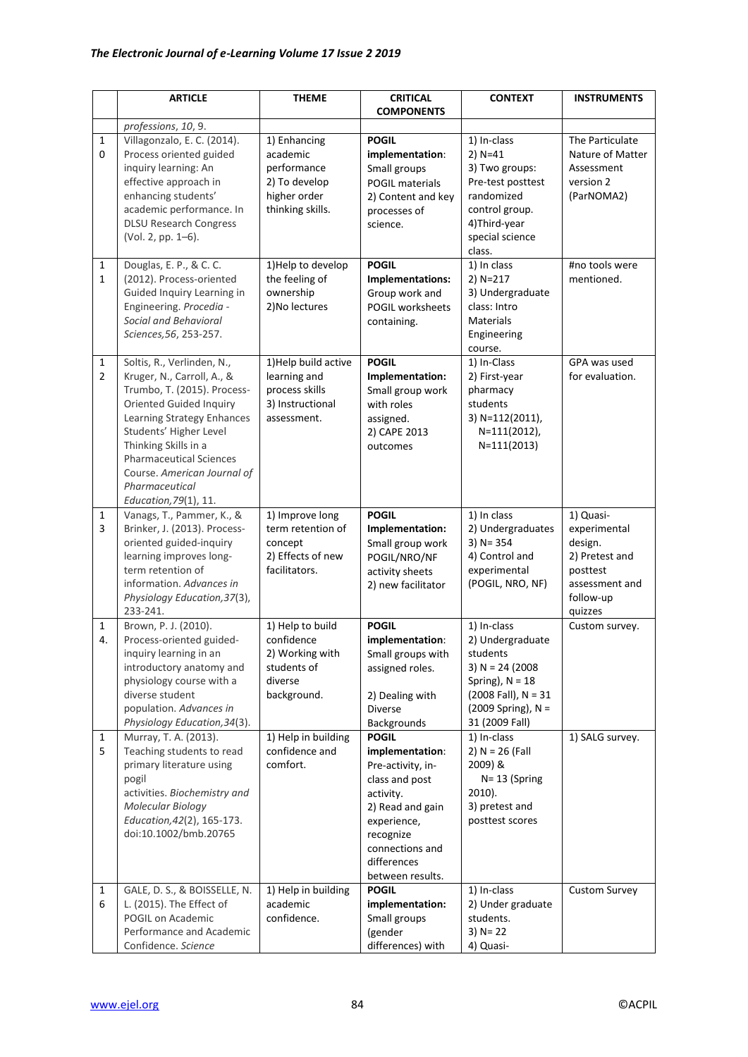|                                | <b>ARTICLE</b>                                                                                                                                                                                                                                                                                                        | <b>THEME</b>                                                                                 | <b>CRITICAL</b><br><b>COMPONENTS</b>                                                                                                                                                      | <b>CONTEXT</b>                                                                                                                                         | <b>INSTRUMENTS</b>                                                                                           |
|--------------------------------|-----------------------------------------------------------------------------------------------------------------------------------------------------------------------------------------------------------------------------------------------------------------------------------------------------------------------|----------------------------------------------------------------------------------------------|-------------------------------------------------------------------------------------------------------------------------------------------------------------------------------------------|--------------------------------------------------------------------------------------------------------------------------------------------------------|--------------------------------------------------------------------------------------------------------------|
|                                | professions, 10, 9.                                                                                                                                                                                                                                                                                                   |                                                                                              |                                                                                                                                                                                           |                                                                                                                                                        |                                                                                                              |
| $\mathbf{1}$<br>0              | Villagonzalo, E. C. (2014).<br>Process oriented guided<br>inquiry learning: An<br>effective approach in<br>enhancing students'<br>academic performance. In<br><b>DLSU Research Congress</b><br>(Vol. 2, pp. 1-6).                                                                                                     | 1) Enhancing<br>academic<br>performance<br>2) To develop<br>higher order<br>thinking skills. | <b>POGIL</b><br>implementation:<br>Small groups<br>POGIL materials<br>2) Content and key<br>processes of<br>science.                                                                      | 1) In-class<br>$2) N = 41$<br>3) Two groups:<br>Pre-test posttest<br>randomized<br>control group.<br>4) Third-year<br>special science<br>class.        | The Particulate<br>Nature of Matter<br>Assessment<br>version 2<br>(ParNOMA2)                                 |
| $\mathbf{1}$<br>1              | Douglas, E. P., & C. C.<br>(2012). Process-oriented<br>Guided Inquiry Learning in<br>Engineering. Procedia -<br>Social and Behavioral<br>Sciences, 56, 253-257.                                                                                                                                                       | 1) Help to develop<br>the feeling of<br>ownership<br>2) No lectures                          | <b>POGIL</b><br>Implementations:<br>Group work and<br>POGIL worksheets<br>containing.                                                                                                     | 1) In class<br>2) N=217<br>3) Undergraduate<br>class: Intro<br><b>Materials</b><br>Engineering<br>course.                                              | #no tools were<br>mentioned.                                                                                 |
| $\mathbf{1}$<br>$\overline{2}$ | Soltis, R., Verlinden, N.,<br>Kruger, N., Carroll, A., &<br>Trumbo, T. (2015). Process-<br><b>Oriented Guided Inquiry</b><br>Learning Strategy Enhances<br>Students' Higher Level<br>Thinking Skills in a<br><b>Pharmaceutical Sciences</b><br>Course. American Journal of<br>Pharmaceutical<br>Education, 79(1), 11. | 1) Help build active<br>learning and<br>process skills<br>3) Instructional<br>assessment.    | <b>POGIL</b><br>Implementation:<br>Small group work<br>with roles<br>assigned.<br>2) CAPE 2013<br>outcomes                                                                                | 1) In-Class<br>2) First-year<br>pharmacy<br>students<br>3) N=112(2011),<br>N=111(2012),<br>$N=111(2013)$                                               | GPA was used<br>for evaluation.                                                                              |
| 1<br>$\overline{3}$            | Vanags, T., Pammer, K., &<br>Brinker, J. (2013). Process-<br>oriented guided-inquiry<br>learning improves long-<br>term retention of<br>information. Advances in<br>Physiology Education, 37(3),<br>233-241.                                                                                                          | 1) Improve long<br>term retention of<br>concept<br>2) Effects of new<br>facilitators.        | <b>POGIL</b><br>Implementation:<br>Small group work<br>POGIL/NRO/NF<br>activity sheets<br>2) new facilitator                                                                              | 1) In class<br>2) Undergraduates<br>$3)$ N= 354<br>4) Control and<br>experimental<br>(POGIL, NRO, NF)                                                  | 1) Quasi-<br>experimental<br>design.<br>2) Pretest and<br>posttest<br>assessment and<br>follow-up<br>quizzes |
| 1<br>4.                        | Brown, P. J. (2010).<br>Process-oriented guided-<br>inquiry learning in an<br>introductory anatomy and<br>physiology course with a<br>diverse student<br>population. Advances in<br>Physiology Education, 34(3).                                                                                                      | 1) Help to build<br>confidence<br>2) Working with<br>students of<br>diverse<br>background.   | <b>POGIL</b><br>implementation:<br>Small groups with<br>assigned roles.<br>2) Dealing with<br><b>Diverse</b><br>Backgrounds                                                               | 1) In-class<br>2) Undergraduate<br>students<br>3) N = 24 (2008<br>Spring), $N = 18$<br>$(2008$ Fall), N = 31<br>$(2009$ Spring), N =<br>31 (2009 Fall) | Custom survey.                                                                                               |
| 1<br>5                         | Murray, T. A. (2013).<br>Teaching students to read<br>primary literature using<br>pogil<br>activities. Biochemistry and<br>Molecular Biology<br>Education, 42(2), 165-173.<br>doi:10.1002/bmb.20765                                                                                                                   | 1) Help in building<br>confidence and<br>comfort.                                            | <b>POGIL</b><br>implementation:<br>Pre-activity, in-<br>class and post<br>activity.<br>2) Read and gain<br>experience,<br>recognize<br>connections and<br>differences<br>between results. | 1) In-class<br>2) $N = 26$ (Fall<br>2009) &<br>$N = 13$ (Spring<br>$2010$ ).<br>3) pretest and<br>posttest scores                                      | 1) SALG survey.                                                                                              |
| $\mathbf{1}$<br>6              | GALE, D. S., & BOISSELLE, N.<br>L. (2015). The Effect of<br>POGIL on Academic<br>Performance and Academic<br>Confidence. Science                                                                                                                                                                                      | 1) Help in building<br>academic<br>confidence.                                               | <b>POGIL</b><br>implementation:<br>Small groups<br>(gender<br>differences) with                                                                                                           | 1) In-class<br>2) Under graduate<br>students.<br>$3) N = 22$<br>4) Quasi-                                                                              | <b>Custom Survey</b>                                                                                         |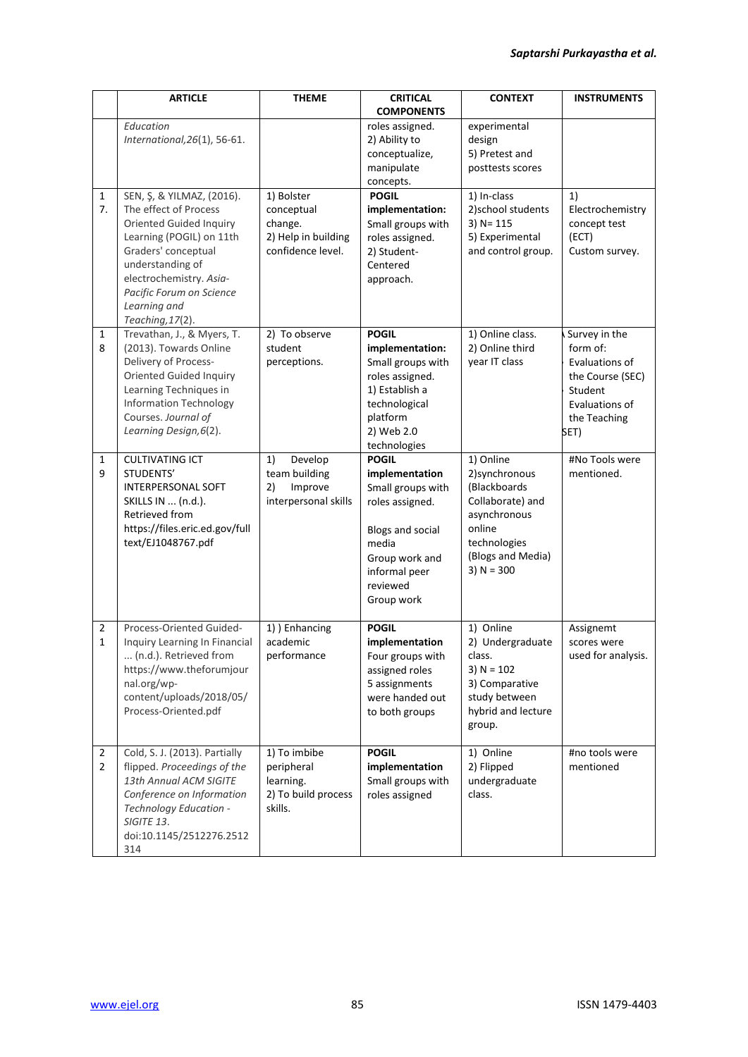|                                  | <b>ARTICLE</b>                                                                                                                                                                                                                                         | <b>THEME</b>                                                                    | <b>CRITICAL</b>                                                                                                                                                         | <b>CONTEXT</b>                                                                                                                                 | <b>INSTRUMENTS</b>                                                                                                   |
|----------------------------------|--------------------------------------------------------------------------------------------------------------------------------------------------------------------------------------------------------------------------------------------------------|---------------------------------------------------------------------------------|-------------------------------------------------------------------------------------------------------------------------------------------------------------------------|------------------------------------------------------------------------------------------------------------------------------------------------|----------------------------------------------------------------------------------------------------------------------|
|                                  |                                                                                                                                                                                                                                                        |                                                                                 | <b>COMPONENTS</b>                                                                                                                                                       |                                                                                                                                                |                                                                                                                      |
|                                  | Education<br>International, 26(1), 56-61.                                                                                                                                                                                                              |                                                                                 | roles assigned.<br>2) Ability to<br>conceptualize,<br>manipulate<br>concepts.                                                                                           | experimental<br>design<br>5) Pretest and<br>posttests scores                                                                                   |                                                                                                                      |
| $\mathbf{1}$<br>7.               | SEN, Ş, & YILMAZ, (2016).<br>The effect of Process<br><b>Oriented Guided Inquiry</b><br>Learning (POGIL) on 11th<br>Graders' conceptual<br>understanding of<br>electrochemistry. Asia-<br>Pacific Forum on Science<br>Learning and<br>Teaching, 17(2). | 1) Bolster<br>conceptual<br>change.<br>2) Help in building<br>confidence level. | <b>POGIL</b><br>implementation:<br>Small groups with<br>roles assigned.<br>2) Student-<br>Centered<br>approach.                                                         | 1) In-class<br>2) school students<br>$3)$ N= 115<br>5) Experimental<br>and control group.                                                      | 1)<br>Electrochemistry<br>concept test<br>(ECT)<br>Custom survey.                                                    |
| $\mathbf{1}$<br>8                | Trevathan, J., & Myers, T.<br>(2013). Towards Online<br>Delivery of Process-<br><b>Oriented Guided Inquiry</b><br>Learning Techniques in<br><b>Information Technology</b><br>Courses. Journal of<br>Learning Design, 6(2).                             | 2) To observe<br>student<br>perceptions.                                        | <b>POGIL</b><br>implementation:<br>Small groups with<br>roles assigned.<br>1) Establish a<br>technological<br>platform<br>2) Web 2.0<br>technologies                    | 1) Online class.<br>2) Online third<br>year IT class                                                                                           | Survey in the<br>form of:<br>Evaluations of<br>the Course (SEC)<br>Student<br>Evaluations of<br>the Teaching<br>SET) |
| $\mathbf{1}$<br>9                | <b>CULTIVATING ICT</b><br>STUDENTS'<br><b>INTERPERSONAL SOFT</b><br>SKILLS IN  (n.d.).<br>Retrieved from<br>https://files.eric.ed.gov/full<br>text/EJ1048767.pdf                                                                                       | 1)<br>Develop<br>team building<br>Improve<br>2)<br>interpersonal skills         | <b>POGIL</b><br>implementation<br>Small groups with<br>roles assigned.<br><b>Blogs and social</b><br>media<br>Group work and<br>informal peer<br>reviewed<br>Group work | 1) Online<br>2) synchronous<br>(Blackboards<br>Collaborate) and<br>asynchronous<br>online<br>technologies<br>(Blogs and Media)<br>3) $N = 300$ | #No Tools were<br>mentioned.                                                                                         |
| 2<br>$\mathbf{1}$                | Process-Oriented Guided-<br>Inquiry Learning In Financial<br>(n.d.). Retrieved from<br>https://www.theforumjour<br>nal.org/wp-<br>content/uploads/2018/05/<br>Process-Oriented.pdf                                                                     | 1) Enhancing<br>academic<br>performance                                         | <b>POGIL</b><br>implementation<br>Four groups with<br>assigned roles<br>5 assignments<br>were handed out<br>to both groups                                              | 1) Online<br>2) Undergraduate<br>class.<br>3) $N = 102$<br>3) Comparative<br>study between<br>hybrid and lecture<br>group.                     | Assignemt<br>scores were<br>used for analysis.                                                                       |
| $\overline{2}$<br>$\overline{2}$ | Cold, S. J. (2013). Partially<br>flipped. Proceedings of the<br>13th Annual ACM SIGITE<br>Conference on Information<br>Technology Education -<br>SIGITE 13.<br>doi:10.1145/2512276.2512<br>314                                                         | 1) To imbibe<br>peripheral<br>learning.<br>2) To build process<br>skills.       | <b>POGIL</b><br>implementation<br>Small groups with<br>roles assigned                                                                                                   | 1) Online<br>2) Flipped<br>undergraduate<br>class.                                                                                             | #no tools were<br>mentioned                                                                                          |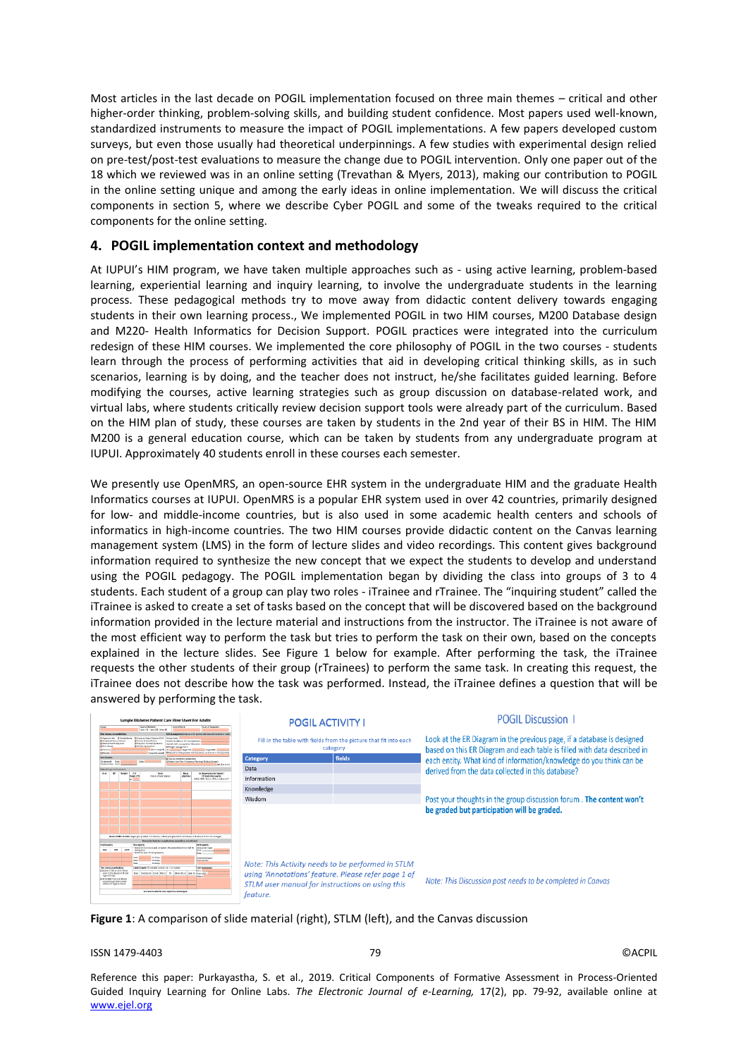Most articles in the last decade on POGIL implementation focused on three main themes – critical and other higher-order thinking, problem-solving skills, and building student confidence. Most papers used well-known, standardized instruments to measure the impact of POGIL implementations. A few papers developed custom surveys, but even those usually had theoretical underpinnings. A few studies with experimental design relied on pre-test/post-test evaluations to measure the change due to POGIL intervention. Only one paper out of the 18 which we reviewed was in an online setting (Trevathan & Myers, 2013), making our contribution to POGIL in the online setting unique and among the early ideas in online implementation. We will discuss the critical components in section 5, where we describe Cyber POGIL and some of the tweaks required to the critical components for the online setting.

# **4. POGIL implementation context and methodology**

At IUPUI's HIM program, we have taken multiple approaches such as - using active learning, problem-based learning, experiential learning and inquiry learning, to involve the undergraduate students in the learning process. These pedagogical methods try to move away from didactic content delivery towards engaging students in their own learning process., We implemented POGIL in two HIM courses, M200 Database design and M220- Health Informatics for Decision Support. POGIL practices were integrated into the curriculum redesign of these HIM courses. We implemented the core philosophy of POGIL in the two courses - students learn through the process of performing activities that aid in developing critical thinking skills, as in such scenarios, learning is by doing, and the teacher does not instruct, he/she facilitates guided learning. Before modifying the courses, active learning strategies such as group discussion on database-related work, and virtual labs, where students critically review decision support tools were already part of the curriculum. Based on the HIM plan of study, these courses are taken by students in the 2nd year of their BS in HIM. The HIM M200 is a general education course, which can be taken by students from any undergraduate program at IUPUI. Approximately 40 students enroll in these courses each semester.

We presently use OpenMRS, an open-source EHR system in the undergraduate HIM and the graduate Health Informatics courses at IUPUI. OpenMRS is a popular EHR system used in over 42 countries, primarily designed for low- and middle-income countries, but is also used in some academic health centers and schools of informatics in high-income countries. The two HIM courses provide didactic content on the Canvas learning management system (LMS) in the form of lecture slides and video recordings. This content gives background information required to synthesize the new concept that we expect the students to develop and understand using the POGIL pedagogy. The POGIL implementation began by dividing the class into groups of 3 to 4 students. Each student of a group can play two roles - iTrainee and rTrainee. The "inquiring student" called the iTrainee is asked to create a set of tasks based on the concept that will be discovered based on the background information provided in the lecture material and instructions from the instructor. The iTrainee is not aware of the most efficient way to perform the task but tries to perform the task on their own, based on the concepts explained in the lecture slides. See Figure 1 below for example. After performing the task, the iTrainee requests the other students of their group (rTrainees) to perform the same task. In creating this request, the iTrainee does not describe how the task was performed. Instead, the iTrainee defines a question that will be answered by performing the task.

| Sample Diabetes Patient Care Flow Sheet For Adults                                                                                                                                                                                                                                                                                                                                                                                                                                                                                                                                                                         | <b>POGIL ACTIVITY I</b>                                                                                  |        | <b>POGIL Discussion 1</b>                                                                                                                          |  |
|----------------------------------------------------------------------------------------------------------------------------------------------------------------------------------------------------------------------------------------------------------------------------------------------------------------------------------------------------------------------------------------------------------------------------------------------------------------------------------------------------------------------------------------------------------------------------------------------------------------------------|----------------------------------------------------------------------------------------------------------|--------|----------------------------------------------------------------------------------------------------------------------------------------------------|--|
| <b>Dear of distance</b><br>Great Make<br><b>Direct Warnach</b><br>Two 100 Take 2.00 October                                                                                                                                                                                                                                                                                                                                                                                                                                                                                                                                |                                                                                                          |        |                                                                                                                                                    |  |
| Self-management (discuss with patient add data and location in class<br>Ride largers, an excellent in<br>Elibertarian E.Databarra ElGranax Mary DespelCAD: Paten Gub<br><b>DO ranic Midney Disnast</b><br>El Porksbergi, Artery Division<br>Ford'six Scotlers to Self-exposurement<br><b>C</b> West hulb-derail<br><b>Diskopriz Outlet Systems</b><br><b>Bighers fell conserved Macabo</b><br><b>FINKER</b><br><b>Hitchcock Cesturation</b><br>LITHAECOMMODIAL<br>Chinocen<br><b>Denot Wo</b><br><b>Drast IM:</b><br>Associations and El Project activity (write: 151 min/www.covieta.co.)-3:1 meshweki<br><b>Children</b> | Fill in the table with fields from the picture that fit into each<br>category                            |        | Look at the ER Diagram in the previous page, if a database is designed<br>based on this ER Diagram and each table is filled with data described in |  |
| <b>Marchaeles</b><br><b>U Read retaile asseter</b><br>El Traiser Care Plan Cheanance Physical Driving Licensels<br><b>Philamenally</b> Bake<br>East 1                                                                                                                                                                                                                                                                                                                                                                                                                                                                      | <b>Category</b>                                                                                          | fields | each entity. What kind of information/knowledge do you think can be                                                                                |  |
| Pregnacione, Italy<br>day forward<br><b>Wide (Facer 3 to 5 months)</b>                                                                                                                                                                                                                                                                                                                                                                                                                                                                                                                                                     | Data                                                                                                     |        | derived from the data collected in this database?                                                                                                  |  |
| 1,440<br><b>Hano</b><br>$\cdot$<br>Weight<br><b>Bank</b><br>Artifugerglacexic Aposts.)<br>(Oak didn't small)<br>Target CTL<br><b>Chromic</b><br>Characteristics assures<br>ACRES ARR / Statin / ABA at indicated?                                                                                                                                                                                                                                                                                                                                                                                                          | Information                                                                                              |        |                                                                                                                                                    |  |
|                                                                                                                                                                                                                                                                                                                                                                                                                                                                                                                                                                                                                            | Knowledge                                                                                                |        |                                                                                                                                                    |  |
|                                                                                                                                                                                                                                                                                                                                                                                                                                                                                                                                                                                                                            | Wisdom                                                                                                   |        | Post your thoughts in the group discussion forum. The content won't                                                                                |  |
|                                                                                                                                                                                                                                                                                                                                                                                                                                                                                                                                                                                                                            |                                                                                                          |        | be graded but participation will be graded.                                                                                                        |  |
| Breien SMBC records. Terpst pro-parallel A-7 metalli; 2-bate past-providel 1-33 metalli; (1-8 metalli; II A) Contrat terps)<br>Serees for diabetes complications annually or as indicated                                                                                                                                                                                                                                                                                                                                                                                                                                  |                                                                                                          |        |                                                                                                                                                    |  |
| <b>New American Selfony</b><br><b>Newmark</b><br><b>Syckerger ha</b><br>W.M. to knowliness and smaller City are not feel to the relation<br><b>NEED ON CAR</b><br><b>ACT</b><br>$-CT$<br>mains faith<br>Clark by way 10 Chrysopher                                                                                                                                                                                                                                                                                                                                                                                         |                                                                                                          |        |                                                                                                                                                    |  |
| <b>FIGURE</b><br>Opportunities<br><b>Fraktion</b><br>w<br><b>OFFICIERS</b><br>Date:<br><b>Distance</b><br><b>Back Service Confessor In two Little Chrysler</b><br>"Ne vasoular protection<br><b>LIST ASSOCIATE</b><br><b>Philadelphia (Chelling), 400 millions</b><br>and intreased a story (14, 66).<br>Easy Medization (2014) 1991-2 70 (Mon-1991-2) Mon-2)<br>Service 17<br><b>ASSAULTER</b><br><b>District</b>                                                                                                                                                                                                         | Note: This Activity needs to be performed in STLM<br>using 'Annotations' feature. Please refer page 1 of |        |                                                                                                                                                    |  |
| TACE IAEE ITASS was DR and<br>areas Associated in the<br>absence of type templors)                                                                                                                                                                                                                                                                                                                                                                                                                                                                                                                                         | STLM user manual for instructions on using this<br>feature.                                              |        | Note: This Discussion post needs to be completed in Canvas                                                                                         |  |
| See morre side for care objectives and targets                                                                                                                                                                                                                                                                                                                                                                                                                                                                                                                                                                             |                                                                                                          |        |                                                                                                                                                    |  |

**Figure 1**: A comparison of slide material (right), STLM (left), and the Canvas discussion

#### ISSN 1479-4403 79 ©ACPIL

Reference this paper: Purkayastha, S. et al., 2019. Critical Components of Formative Assessment in Process-Oriented Guided Inquiry Learning for Online Labs. *The Electronic Journal of e-Learning,* 17(2), pp. 79-92, available online at www.ejel.org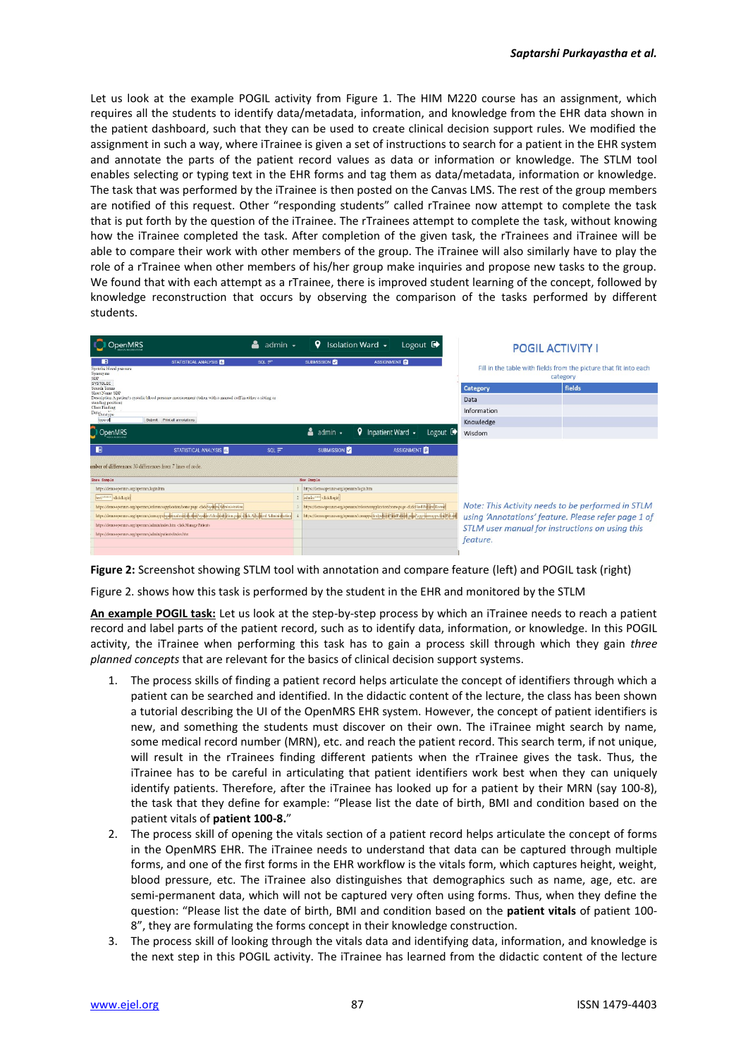Let us look at the example POGIL activity from Figure 1. The HIM M220 course has an assignment, which requires all the students to identify data/metadata, information, and knowledge from the EHR data shown in the patient dashboard, such that they can be used to create clinical decision support rules. We modified the assignment in such a way, where iTrainee is given a set of instructions to search for a patient in the EHR system and annotate the parts of the patient record values as data or information or knowledge. The STLM tool enables selecting or typing text in the EHR forms and tag them as data/metadata, information or knowledge. The task that was performed by the iTrainee is then posted on the Canvas LMS. The rest of the group members are notified of this request. Other "responding students" called rTrainee now attempt to complete the task that is put forth by the question of the iTrainee. The rTrainees attempt to complete the task, without knowing how the iTrainee completed the task. After completion of the given task, the rTrainees and iTrainee will be able to compare their work with other members of the group. The iTrainee will also similarly have to play the role of a rTrainee when other members of his/her group make inquiries and propose new tasks to the group. We found that with each attempt as a rTrainee, there is improved student learning of the concept, followed by knowledge reconstruction that occurs by observing the comparison of the tasks performed by different students.

| Logout $\blacksquare$<br>Isolation Ward -<br>admin $\sim$                                                                                                                                                                                                                                                                                                                                                         | <b>POGIL ACTIVITY I</b>                                                       |
|-------------------------------------------------------------------------------------------------------------------------------------------------------------------------------------------------------------------------------------------------------------------------------------------------------------------------------------------------------------------------------------------------------------------|-------------------------------------------------------------------------------|
| $\blacksquare$<br>SUBMISSION <b>C</b><br>ASSIGNMENT<br>STATISTICAL ANALYSIS<br>$SOL =$<br>Systolic blood pressure<br>Synonyms<br>SBP<br><b>SYSTOLIC</b>                                                                                                                                                                                                                                                           | Fill in the table with fields from the picture that fit into each<br>category |
| <b>Category</b><br>Search Terms<br>Short Name SBP                                                                                                                                                                                                                                                                                                                                                                 | fields                                                                        |
| Description A patient's systolic blood pressure measurement (taken with a manual cuff in either a sitting or<br>Data<br>standing position)                                                                                                                                                                                                                                                                        |                                                                               |
| Class Finding<br>Information<br>Databatarpe                                                                                                                                                                                                                                                                                                                                                                       |                                                                               |
| Submit Print all annotations<br>type of<br>Knowledge                                                                                                                                                                                                                                                                                                                                                              |                                                                               |
| $\triangledown$ Inpatient Ward $\cdot$<br>Logout $\mathbb{C}$<br>$\Delta$ admin $\sim$<br><b>D</b> OpenMRS<br>Wisdom                                                                                                                                                                                                                                                                                              |                                                                               |
| ■<br>SUBMISSION<br>ASSIGNMENT<br>STATISTICAL ANALYSIS<br>$SOL =$                                                                                                                                                                                                                                                                                                                                                  |                                                                               |
| imber of differences: 30 differences from 7 lines of code.                                                                                                                                                                                                                                                                                                                                                        |                                                                               |
| <b>Base Sample</b><br>New Sample                                                                                                                                                                                                                                                                                                                                                                                  |                                                                               |
| https://demo.openmrs.org/openmrs/login.htm<br>https://demo.openmrs.org/openmrs/login.htm                                                                                                                                                                                                                                                                                                                          |                                                                               |
| 2 admin <sup>stere</sup> click Login<br>test."""" -dickLogin                                                                                                                                                                                                                                                                                                                                                      |                                                                               |
| https://demo.openmrs.org/openmrs/referenceapplication/home.page-click/System/Administration<br>https://demo.openmrs.org/openmrs/referenceapplication/home.page-clickFind Patient/Record<br>https://demo.openmrs.org/openmrs/coreapps/findpabine/findPabine.page/app-loreapps.findPabien<br>https://demo.openmrs.org/openmrs/coreapps/systemadminis/totion/systemAdministration.page-effek:Advanced Administration | Note: This Activity needs to be performed in STLM                             |
| https://demo.openmrs.org/openmrs/admin/index.htm -click:Manage Patients                                                                                                                                                                                                                                                                                                                                           | using 'Annotations' feature. Please refer page 1 of                           |
| https://demo.openmrs.org/openmrs/admin/patients/index.htm                                                                                                                                                                                                                                                                                                                                                         | STLM user manual for instructions on using this                               |
| feature.                                                                                                                                                                                                                                                                                                                                                                                                          |                                                                               |

**Figure 2:** Screenshot showing STLM tool with annotation and compare feature (left) and POGIL task (right)

Figure 2. shows how this task is performed by the student in the EHR and monitored by the STLM

**An example POGIL task:** Let us look at the step-by-step process by which an iTrainee needs to reach a patient record and label parts of the patient record, such as to identify data, information, or knowledge. In this POGIL activity, the iTrainee when performing this task has to gain a process skill through which they gain *three planned concepts* that are relevant for the basics of clinical decision support systems.

- 1. The process skills of finding a patient record helps articulate the concept of identifiers through which a patient can be searched and identified. In the didactic content of the lecture, the class has been shown a tutorial describing the UI of the OpenMRS EHR system. However, the concept of patient identifiers is new, and something the students must discover on their own. The iTrainee might search by name, some medical record number (MRN), etc. and reach the patient record. This search term, if not unique, will result in the rTrainees finding different patients when the rTrainee gives the task. Thus, the iTrainee has to be careful in articulating that patient identifiers work best when they can uniquely identify patients. Therefore, after the iTrainee has looked up for a patient by their MRN (say 100-8), the task that they define for example: "Please list the date of birth, BMI and condition based on the patient vitals of **patient 100-8.**"
- 2. The process skill of opening the vitals section of a patient record helps articulate the concept of forms in the OpenMRS EHR. The iTrainee needs to understand that data can be captured through multiple forms, and one of the first forms in the EHR workflow is the vitals form, which captures height, weight, blood pressure, etc. The iTrainee also distinguishes that demographics such as name, age, etc. are semi-permanent data, which will not be captured very often using forms. Thus, when they define the question: "Please list the date of birth, BMI and condition based on the **patient vitals** of patient 100- 8", they are formulating the forms concept in their knowledge construction.
- 3. The process skill of looking through the vitals data and identifying data, information, and knowledge is the next step in this POGIL activity. The iTrainee has learned from the didactic content of the lecture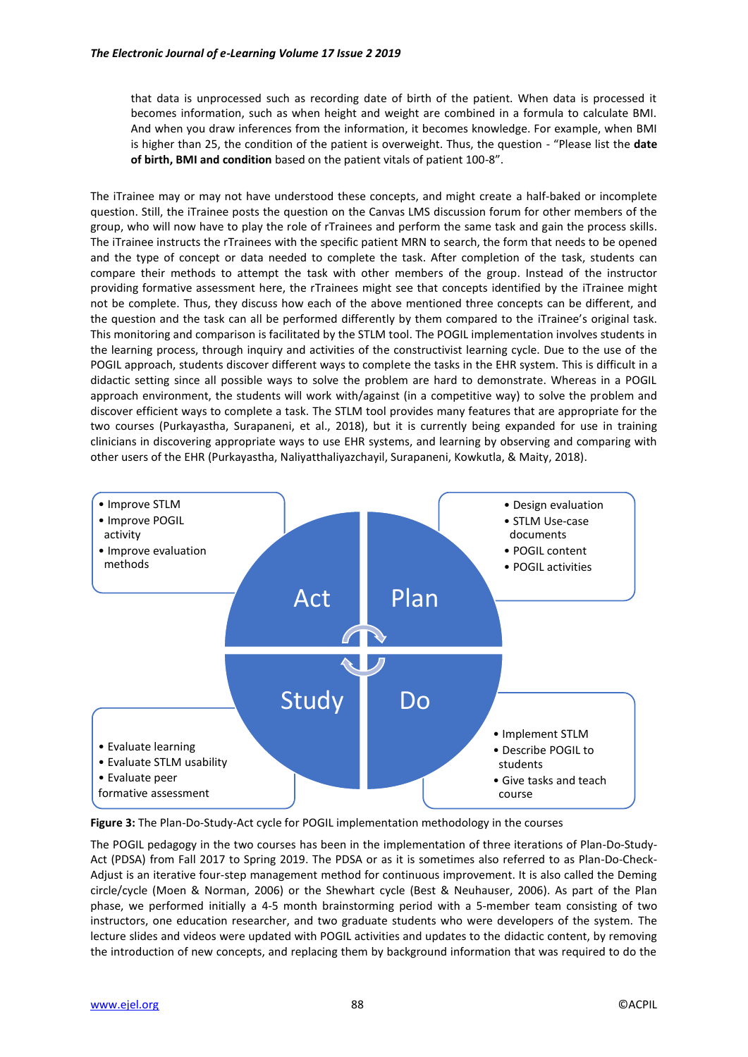that data is unprocessed such as recording date of birth of the patient. When data is processed it becomes information, such as when height and weight are combined in a formula to calculate BMI. And when you draw inferences from the information, it becomes knowledge. For example, when BMI is higher than 25, the condition of the patient is overweight. Thus, the question - "Please list the **date of birth, BMI and condition** based on the patient vitals of patient 100-8".

The iTrainee may or may not have understood these concepts, and might create a half-baked or incomplete question. Still, the iTrainee posts the question on the Canvas LMS discussion forum for other members of the group, who will now have to play the role of rTrainees and perform the same task and gain the process skills. The iTrainee instructs the rTrainees with the specific patient MRN to search, the form that needs to be opened and the type of concept or data needed to complete the task. After completion of the task, students can compare their methods to attempt the task with other members of the group. Instead of the instructor providing formative assessment here, the rTrainees might see that concepts identified by the iTrainee might not be complete. Thus, they discuss how each of the above mentioned three concepts can be different, and the question and the task can all be performed differently by them compared to the iTrainee's original task. This monitoring and comparison is facilitated by the STLM tool. The POGIL implementation involves students in the learning process, through inquiry and activities of the constructivist learning cycle. Due to the use of the POGIL approach, students discover different ways to complete the tasks in the EHR system. This is difficult in a didactic setting since all possible ways to solve the problem are hard to demonstrate. Whereas in a POGIL approach environment, the students will work with/against (in a competitive way) to solve the problem and discover efficient ways to complete a task. The STLM tool provides many features that are appropriate for the two courses (Purkayastha, Surapaneni, et al., 2018), but it is currently being expanded for use in training clinicians in discovering appropriate ways to use EHR systems, and learning by observing and comparing with other users of the EHR (Purkayastha, Naliyatthaliyazchayil, Surapaneni, Kowkutla, & Maity, 2018).



**Figure 3:** The Plan-Do-Study-Act cycle for POGIL implementation methodology in the courses

The POGIL pedagogy in the two courses has been in the implementation of three iterations of Plan-Do-Study-Act (PDSA) from Fall 2017 to Spring 2019. The PDSA or as it is sometimes also referred to as Plan-Do-Check-Adjust is an iterative four-step management method for continuous improvement. It is also called the Deming circle/cycle (Moen & Norman, 2006) or the Shewhart cycle (Best & Neuhauser, 2006). As part of the Plan phase, we performed initially a 4-5 month brainstorming period with a 5-member team consisting of two instructors, one education researcher, and two graduate students who were developers of the system. The lecture slides and videos were updated with POGIL activities and updates to the didactic content, by removing the introduction of new concepts, and replacing them by background information that was required to do the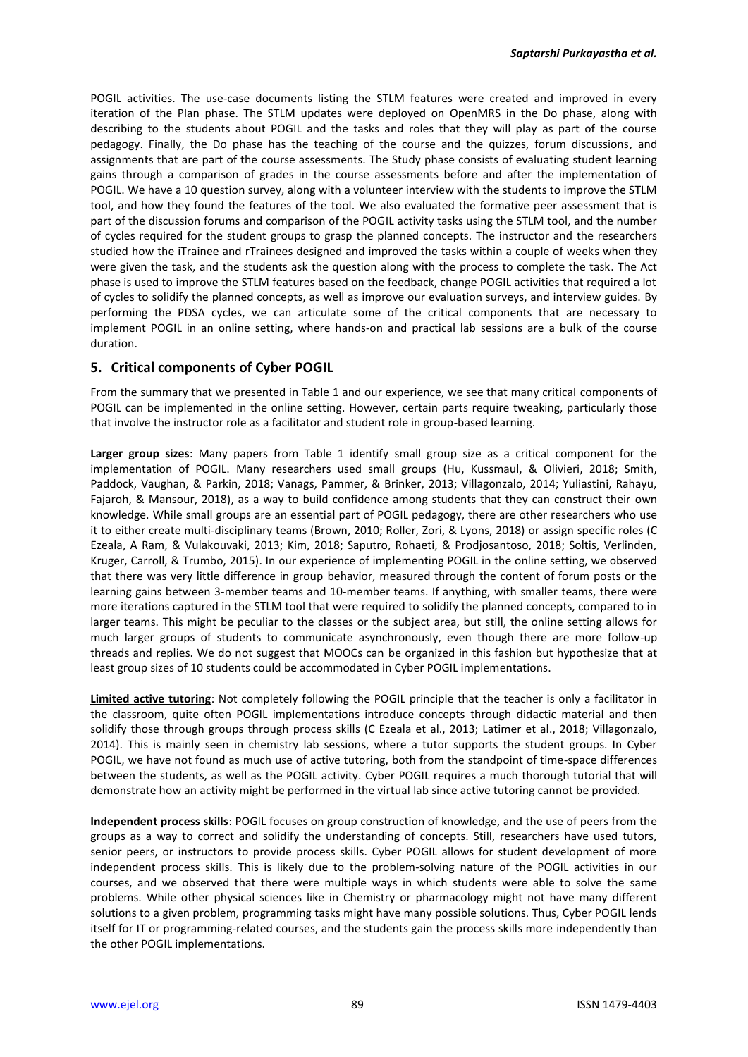POGIL activities. The use-case documents listing the STLM features were created and improved in every iteration of the Plan phase. The STLM updates were deployed on OpenMRS in the Do phase, along with describing to the students about POGIL and the tasks and roles that they will play as part of the course pedagogy. Finally, the Do phase has the teaching of the course and the quizzes, forum discussions, and assignments that are part of the course assessments. The Study phase consists of evaluating student learning gains through a comparison of grades in the course assessments before and after the implementation of POGIL. We have a 10 question survey, along with a volunteer interview with the students to improve the STLM tool, and how they found the features of the tool. We also evaluated the formative peer assessment that is part of the discussion forums and comparison of the POGIL activity tasks using the STLM tool, and the number of cycles required for the student groups to grasp the planned concepts. The instructor and the researchers studied how the iTrainee and rTrainees designed and improved the tasks within a couple of weeks when they were given the task, and the students ask the question along with the process to complete the task. The Act phase is used to improve the STLM features based on the feedback, change POGIL activities that required a lot of cycles to solidify the planned concepts, as well as improve our evaluation surveys, and interview guides. By performing the PDSA cycles, we can articulate some of the critical components that are necessary to implement POGIL in an online setting, where hands-on and practical lab sessions are a bulk of the course duration.

# **5. Critical components of Cyber POGIL**

From the summary that we presented in Table 1 and our experience, we see that many critical components of POGIL can be implemented in the online setting. However, certain parts require tweaking, particularly those that involve the instructor role as a facilitator and student role in group-based learning.

**Larger group sizes**: Many papers from Table 1 identify small group size as a critical component for the implementation of POGIL. Many researchers used small groups (Hu, Kussmaul, & Olivieri, 2018; Smith, Paddock, Vaughan, & Parkin, 2018; Vanags, Pammer, & Brinker, 2013; Villagonzalo, 2014; Yuliastini, Rahayu, Fajaroh, & Mansour, 2018), as a way to build confidence among students that they can construct their own knowledge. While small groups are an essential part of POGIL pedagogy, there are other researchers who use it to either create multi-disciplinary teams (Brown, 2010; Roller, Zori, & Lyons, 2018) or assign specific roles (C Ezeala, A Ram, & Vulakouvaki, 2013; Kim, 2018; Saputro, Rohaeti, & Prodjosantoso, 2018; Soltis, Verlinden, Kruger, Carroll, & Trumbo, 2015). In our experience of implementing POGIL in the online setting, we observed that there was very little difference in group behavior, measured through the content of forum posts or the learning gains between 3-member teams and 10-member teams. If anything, with smaller teams, there were more iterations captured in the STLM tool that were required to solidify the planned concepts, compared to in larger teams. This might be peculiar to the classes or the subject area, but still, the online setting allows for much larger groups of students to communicate asynchronously, even though there are more follow-up threads and replies. We do not suggest that MOOCs can be organized in this fashion but hypothesize that at least group sizes of 10 students could be accommodated in Cyber POGIL implementations.

**Limited active tutoring**: Not completely following the POGIL principle that the teacher is only a facilitator in the classroom, quite often POGIL implementations introduce concepts through didactic material and then solidify those through groups through process skills (C Ezeala et al., 2013; Latimer et al., 2018; Villagonzalo, 2014). This is mainly seen in chemistry lab sessions, where a tutor supports the student groups. In Cyber POGIL, we have not found as much use of active tutoring, both from the standpoint of time-space differences between the students, as well as the POGIL activity. Cyber POGIL requires a much thorough tutorial that will demonstrate how an activity might be performed in the virtual lab since active tutoring cannot be provided.

**Independent process skills**: POGIL focuses on group construction of knowledge, and the use of peers from the groups as a way to correct and solidify the understanding of concepts. Still, researchers have used tutors, senior peers, or instructors to provide process skills. Cyber POGIL allows for student development of more independent process skills. This is likely due to the problem-solving nature of the POGIL activities in our courses, and we observed that there were multiple ways in which students were able to solve the same problems. While other physical sciences like in Chemistry or pharmacology might not have many different solutions to a given problem, programming tasks might have many possible solutions. Thus, Cyber POGIL lends itself for IT or programming-related courses, and the students gain the process skills more independently than the other POGIL implementations.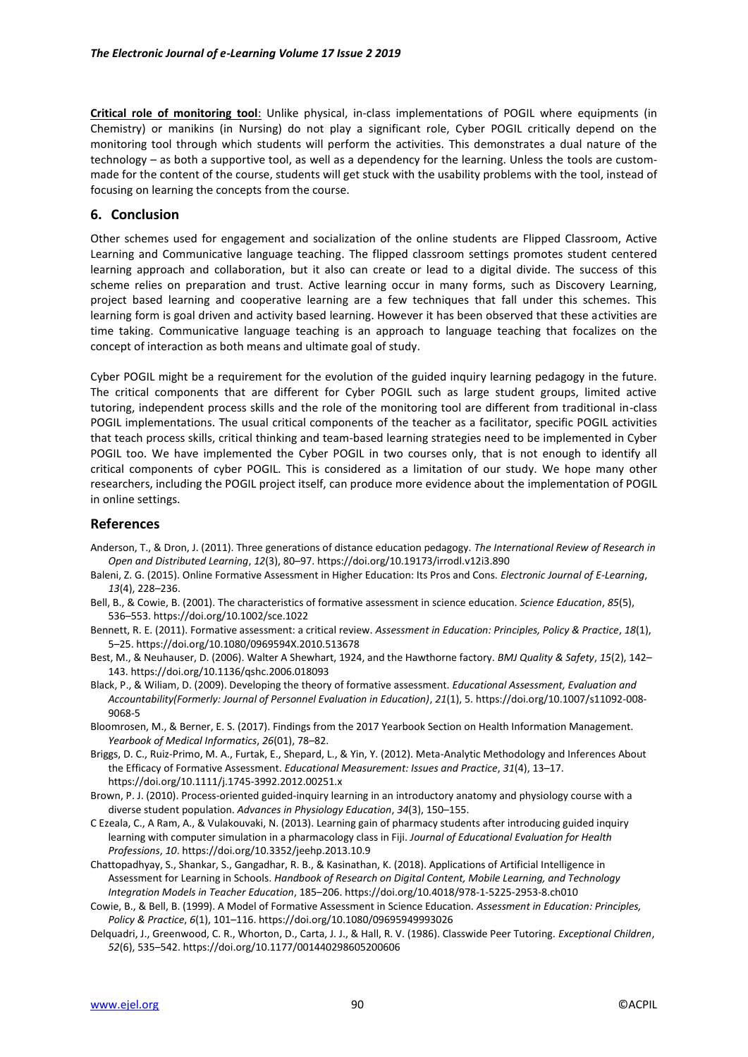**Critical role of monitoring tool**: Unlike physical, in-class implementations of POGIL where equipments (in Chemistry) or manikins (in Nursing) do not play a significant role, Cyber POGIL critically depend on the monitoring tool through which students will perform the activities. This demonstrates a dual nature of the technology – as both a supportive tool, as well as a dependency for the learning. Unless the tools are custommade for the content of the course, students will get stuck with the usability problems with the tool, instead of focusing on learning the concepts from the course.

## **6. Conclusion**

Other schemes used for engagement and socialization of the online students are Flipped Classroom, Active Learning and Communicative language teaching. The flipped classroom settings promotes student centered learning approach and collaboration, but it also can create or lead to a digital divide. The success of this scheme relies on preparation and trust. Active learning occur in many forms, such as Discovery Learning, project based learning and cooperative learning are a few techniques that fall under this schemes. This learning form is goal driven and activity based learning. However it has been observed that these activities are time taking. Communicative language teaching is an approach to language teaching that focalizes on the concept of interaction as both means and ultimate goal of study.

Cyber POGIL might be a requirement for the evolution of the guided inquiry learning pedagogy in the future. The critical components that are different for Cyber POGIL such as large student groups, limited active tutoring, independent process skills and the role of the monitoring tool are different from traditional in-class POGIL implementations. The usual critical components of the teacher as a facilitator, specific POGIL activities that teach process skills, critical thinking and team-based learning strategies need to be implemented in Cyber POGIL too. We have implemented the Cyber POGIL in two courses only, that is not enough to identify all critical components of cyber POGIL. This is considered as a limitation of our study. We hope many other researchers, including the POGIL project itself, can produce more evidence about the implementation of POGIL in online settings.

## **References**

- Anderson, T., & Dron, J. (2011). Three generations of distance education pedagogy. *The International Review of Research in Open and Distributed Learning*, *12*(3), 80–97. https://doi.org/10.19173/irrodl.v12i3.890
- Baleni, Z. G. (2015). Online Formative Assessment in Higher Education: Its Pros and Cons. *Electronic Journal of E-Learning*, *13*(4), 228–236.
- Bell, B., & Cowie, B. (2001). The characteristics of formative assessment in science education. *Science Education*, *85*(5), 536–553. https://doi.org/10.1002/sce.1022
- Bennett, R. E. (2011). Formative assessment: a critical review. *Assessment in Education: Principles, Policy & Practice*, *18*(1), 5–25. https://doi.org/10.1080/0969594X.2010.513678
- Best, M., & Neuhauser, D. (2006). Walter A Shewhart, 1924, and the Hawthorne factory. *BMJ Quality & Safety*, *15*(2), 142– 143. https://doi.org/10.1136/qshc.2006.018093
- Black, P., & Wiliam, D. (2009). Developing the theory of formative assessment. *Educational Assessment, Evaluation and Accountability(Formerly: Journal of Personnel Evaluation in Education)*, *21*(1), 5. https://doi.org/10.1007/s11092-008- 9068-5
- Bloomrosen, M., & Berner, E. S. (2017). Findings from the 2017 Yearbook Section on Health Information Management. *Yearbook of Medical Informatics*, *26*(01), 78–82.
- Briggs, D. C., Ruiz‐Primo, M. A., Furtak, E., Shepard, L., & Yin, Y. (2012). Meta-Analytic Methodology and Inferences About the Efficacy of Formative Assessment. *Educational Measurement: Issues and Practice*, *31*(4), 13–17. https://doi.org/10.1111/j.1745-3992.2012.00251.x
- Brown, P. J. (2010). Process-oriented guided-inquiry learning in an introductory anatomy and physiology course with a diverse student population. *Advances in Physiology Education*, *34*(3), 150–155.
- C Ezeala, C., A Ram, A., & Vulakouvaki, N. (2013). Learning gain of pharmacy students after introducing guided inquiry learning with computer simulation in a pharmacology class in Fiji. *Journal of Educational Evaluation for Health Professions*, *10*. https://doi.org/10.3352/jeehp.2013.10.9
- Chattopadhyay, S., Shankar, S., Gangadhar, R. B., & Kasinathan, K. (2018). Applications of Artificial Intelligence in Assessment for Learning in Schools. *Handbook of Research on Digital Content, Mobile Learning, and Technology Integration Models in Teacher Education*, 185–206. https://doi.org/10.4018/978-1-5225-2953-8.ch010
- Cowie, B., & Bell, B. (1999). A Model of Formative Assessment in Science Education. *Assessment in Education: Principles, Policy & Practice*, *6*(1), 101–116. https://doi.org/10.1080/09695949993026
- Delquadri, J., Greenwood, C. R., Whorton, D., Carta, J. J., & Hall, R. V. (1986). Classwide Peer Tutoring. *Exceptional Children*, *52*(6), 535–542. https://doi.org/10.1177/001440298605200606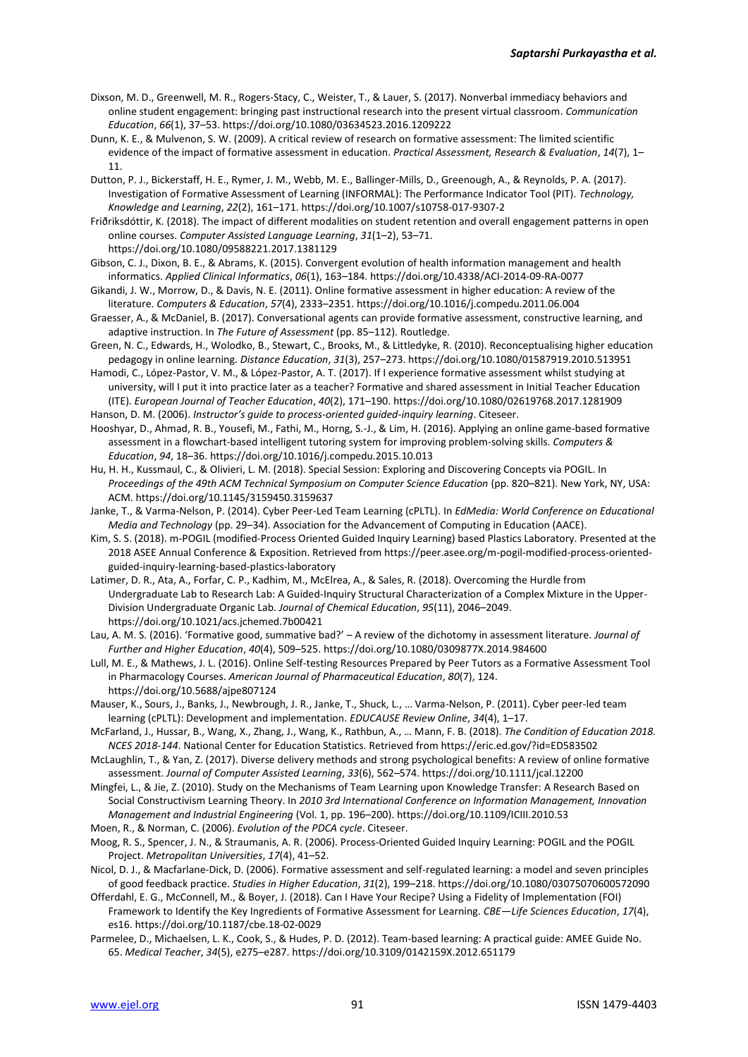- Dixson, M. D., Greenwell, M. R., Rogers-Stacy, C., Weister, T., & Lauer, S. (2017). Nonverbal immediacy behaviors and online student engagement: bringing past instructional research into the present virtual classroom. *Communication Education*, *66*(1), 37–53. https://doi.org/10.1080/03634523.2016.1209222
- Dunn, K. E., & Mulvenon, S. W. (2009). A critical review of research on formative assessment: The limited scientific evidence of the impact of formative assessment in education. *Practical Assessment, Research & Evaluation*, *14*(7), 1– 11.
- Dutton, P. J., Bickerstaff, H. E., Rymer, J. M., Webb, M. E., Ballinger-Mills, D., Greenough, A., & Reynolds, P. A. (2017). Investigation of Formative Assessment of Learning (INFORMAL): The Performance Indicator Tool (PIT). *Technology, Knowledge and Learning*, *22*(2), 161–171. https://doi.org/10.1007/s10758-017-9307-2

Friðriksdóttir, K. (2018). The impact of different modalities on student retention and overall engagement patterns in open online courses. *Computer Assisted Language Learning*, *31*(1–2), 53–71. https://doi.org/10.1080/09588221.2017.1381129

- Gibson, C. J., Dixon, B. E., & Abrams, K. (2015). Convergent evolution of health information management and health informatics. *Applied Clinical Informatics*, *06*(1), 163–184. https://doi.org/10.4338/ACI-2014-09-RA-0077
- Gikandi, J. W., Morrow, D., & Davis, N. E. (2011). Online formative assessment in higher education: A review of the literature. *Computers & Education*, *57*(4), 2333–2351. https://doi.org/10.1016/j.compedu.2011.06.004
- Graesser, A., & McDaniel, B. (2017). Conversational agents can provide formative assessment, constructive learning, and adaptive instruction. In *The Future of Assessment* (pp. 85–112). Routledge.
- Green, N. C., Edwards, H., Wolodko, B., Stewart, C., Brooks, M., & Littledyke, R. (2010). Reconceptualising higher education pedagogy in online learning. *Distance Education*, *31*(3), 257–273. https://doi.org/10.1080/01587919.2010.513951

Hamodi, C., López-Pastor, V. M., & López-Pastor, A. T. (2017). If I experience formative assessment whilst studying at university, will I put it into practice later as a teacher? Formative and shared assessment in Initial Teacher Education (ITE). *European Journal of Teacher Education*, *40*(2), 171–190. https://doi.org/10.1080/02619768.2017.1281909 Hanson, D. M. (2006). *Instructor's guide to process-oriented guided-inquiry learning*. Citeseer.

Hooshyar, D., Ahmad, R. B., Yousefi, M., Fathi, M., Horng, S.-J., & Lim, H. (2016). Applying an online game-based formative assessment in a flowchart-based intelligent tutoring system for improving problem-solving skills. *Computers & Education*, *94*, 18–36. https://doi.org/10.1016/j.compedu.2015.10.013

Hu, H. H., Kussmaul, C., & Olivieri, L. M. (2018). Special Session: Exploring and Discovering Concepts via POGIL. In *Proceedings of the 49th ACM Technical Symposium on Computer Science Education* (pp. 820–821). New York, NY, USA: ACM. https://doi.org/10.1145/3159450.3159637

Janke, T., & Varma-Nelson, P. (2014). Cyber Peer-Led Team Learning (cPLTL). In *EdMedia: World Conference on Educational Media and Technology* (pp. 29–34). Association for the Advancement of Computing in Education (AACE).

- Kim, S. S. (2018). m-POGIL (modified-Process Oriented Guided Inquiry Learning) based Plastics Laboratory. Presented at the 2018 ASEE Annual Conference & Exposition. Retrieved from https://peer.asee.org/m-pogil-modified-process-orientedguided-inquiry-learning-based-plastics-laboratory
- Latimer, D. R., Ata, A., Forfar, C. P., Kadhim, M., McElrea, A., & Sales, R. (2018). Overcoming the Hurdle from Undergraduate Lab to Research Lab: A Guided-Inquiry Structural Characterization of a Complex Mixture in the Upper-Division Undergraduate Organic Lab. *Journal of Chemical Education*, *95*(11), 2046–2049. https://doi.org/10.1021/acs.jchemed.7b00421

Lau, A. M. S. (2016). 'Formative good, summative bad?' – A review of the dichotomy in assessment literature. *Journal of Further and Higher Education*, *40*(4), 509–525. https://doi.org/10.1080/0309877X.2014.984600

- Lull, M. E., & Mathews, J. L. (2016). Online Self-testing Resources Prepared by Peer Tutors as a Formative Assessment Tool in Pharmacology Courses. *American Journal of Pharmaceutical Education*, *80*(7), 124. https://doi.org/10.5688/ajpe807124
- Mauser, K., Sours, J., Banks, J., Newbrough, J. R., Janke, T., Shuck, L., … Varma-Nelson, P. (2011). Cyber peer-led team learning (cPLTL): Development and implementation. *EDUCAUSE Review Online*, *34*(4), 1–17.
- McFarland, J., Hussar, B., Wang, X., Zhang, J., Wang, K., Rathbun, A., … Mann, F. B. (2018). *The Condition of Education 2018. NCES 2018-144*. National Center for Education Statistics. Retrieved from https://eric.ed.gov/?id=ED583502
- McLaughlin, T., & Yan, Z. (2017). Diverse delivery methods and strong psychological benefits: A review of online formative assessment. *Journal of Computer Assisted Learning*, *33*(6), 562–574. https://doi.org/10.1111/jcal.12200
- Mingfei, L., & Jie, Z. (2010). Study on the Mechanisms of Team Learning upon Knowledge Transfer: A Research Based on Social Constructivism Learning Theory. In *2010 3rd International Conference on Information Management, Innovation Management and Industrial Engineering* (Vol. 1, pp. 196–200). https://doi.org/10.1109/ICIII.2010.53
- Moen, R., & Norman, C. (2006). *Evolution of the PDCA cycle*. Citeseer.
- Moog, R. S., Spencer, J. N., & Straumanis, A. R. (2006). Process-Oriented Guided Inquiry Learning: POGIL and the POGIL Project. *Metropolitan Universities*, *17*(4), 41–52.
- Nicol, D. J., & Macfarlane‐Dick, D. (2006). Formative assessment and self‐regulated learning: a model and seven principles of good feedback practice. *Studies in Higher Education*, *31*(2), 199–218. https://doi.org/10.1080/03075070600572090
- Offerdahl, E. G., McConnell, M., & Boyer, J. (2018). Can I Have Your Recipe? Using a Fidelity of Implementation (FOI) Framework to Identify the Key Ingredients of Formative Assessment for Learning. *CBE—Life Sciences Education*, *17*(4), es16. https://doi.org/10.1187/cbe.18-02-0029
- Parmelee, D., Michaelsen, L. K., Cook, S., & Hudes, P. D. (2012). Team-based learning: A practical guide: AMEE Guide No. 65. *Medical Teacher*, *34*(5), e275–e287. https://doi.org/10.3109/0142159X.2012.651179